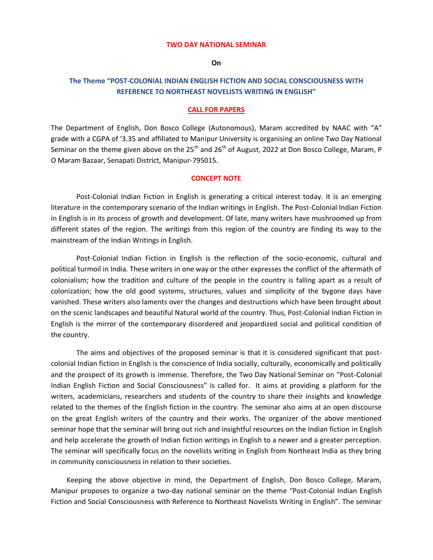#### **TWO DAY NATIONAL SEMINAR**

**On**

# **The Theme "POST-COLONIAL INDIAN ENGLISH FICTION AND SOCIAL CONSCIOUSNESS WITH REFERENCE TO NORTHEAST NOVELISTS WRITING IN ENGLISH"**

#### **CALL FOR PAPERS**

The Department of English, Don Bosco College (Autonomous), Maram accredited by NAAC with "A" grade with a CGPA of '3.35 and affiliated to Manipur University is organising an online Two Day National Seminar on the theme given above on the  $25<sup>th</sup>$  and  $26<sup>th</sup>$  of August, 2022 at Don Bosco College, Maram, P O Maram Bazaar, Senapati District, Manipur-795015.

#### **CONCEPT NOTE**

Post-Colonial Indian Fiction in English is generating a critical interest today. It is an emerging literature in the contemporary scenario of the Indian writings in English. The Post-Colonial Indian Fiction in English is in its process of growth and development. Of late, many writers have mushroomed up from different states of the region. The writings from this region of the country are finding its way to the mainstream of the Indian Writings in English.

Post-Colonial Indian Fiction in English is the reflection of the socio-economic, cultural and political turmoil in India. These writers in one way or the other expresses the conflict of the aftermath of colonialism; how the tradition and culture of the people in the country is falling apart as a result of colonization; how the old good systems, structures, values and simplicity of the bygone days have vanished. These writers also laments over the changes and destructions which have been brought about on the scenic landscapes and beautiful Natural world of the country. Thus, Post-Colonial Indian Fiction in English is the mirror of the contemporary disordered and jeopardized social and political condition of the country.

The aims and objectives of the proposed seminar is that it is considered significant that postcolonial Indian fiction in English is the conscience of India socially, culturally, economically and politically and the prospect of its growth is immense. Therefore, the Two Day National Seminar on "Post-Colonial Indian English Fiction and Social Consciousness" is called for. It aims at providing a platform for the writers, academicians, researchers and students of the country to share their insights and knowledge related to the themes of the English fiction in the country. The seminar also aims at an open discourse on the great English writers of the country and their works. The organizer of the above mentioned seminar hope that the seminar will bring out rich and insightful resources on the Indian fiction in English and help accelerate the growth of Indian fiction writings in English to a newer and a greater perception. The seminar will specifically focus on the novelists writing in English from Northeast India as they bring in community consciousness in relation to their societies.

 Keeping the above objective in mind, the Department of English, Don Bosco College, Maram, Manipur proposes to organize a two-day national seminar on the theme "Post-Colonial Indian English Fiction and Social Consciousness with Reference to Northeast Novelists Writing in English". The seminar